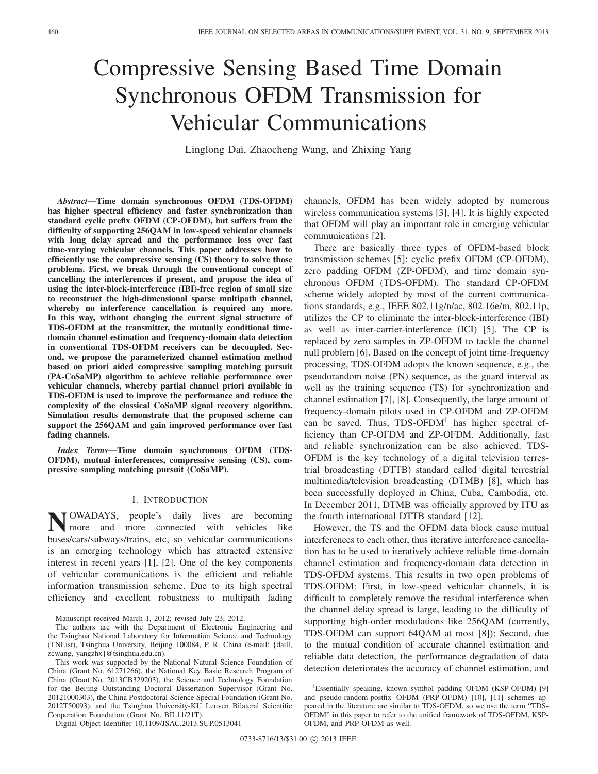# Compressive Sensing Based Time Domain Synchronous OFDM Transmission for Vehicular Communications

Linglong Dai, Zhaocheng Wang, and Zhixing Yang

*Abstract***—Time domain synchronous OFDM (TDS-OFDM) has higher spectral efficiency and faster synchronization than standard cyclic prefix OFDM (CP-OFDM), but suffers from the difficulty of supporting 256QAM in low-speed vehicular channels with long delay spread and the performance loss over fast time-varying vehicular channels. This paper addresses how to efficiently use the compressive sensing (CS) theory to solve those problems. First, we break through the conventional concept of cancelling the interferences if present, and propose the idea of using the inter-block-interference (IBI)-free region of small size to reconstruct the high-dimensional sparse multipath channel, whereby no interference cancellation is required any more. In this way, without changing the current signal structure of TDS-OFDM at the transmitter, the mutually conditional timedomain channel estimation and frequency-domain data detection in conventional TDS-OFDM receivers can be decoupled. Second, we propose the parameterized channel estimation method based on priori aided compressive sampling matching pursuit (PA-CoSaMP) algorithm to achieve reliable performance over vehicular channels, whereby partial channel priori available in TDS-OFDM is used to improve the performance and reduce the complexity of the classical CoSaMP signal recovery algorithm. Simulation results demonstrate that the proposed scheme can support the 256QAM and gain improved performance over fast fading channels.**

*Index Terms***—Time domain synchronous OFDM (TDS-OFDM), mutual interferences, compressive sensing (CS), compressive sampling matching pursuit (CoSaMP).**

#### I. INTRODUCTION

**N**OWADAYS, people's daily lives are becoming more and more connected with vehicles like buses/cars/subways/trains, etc, so vehicular communications is an emerging technology which has attracted extensive interest in recent years [1], [2]. One of the key components of vehicular communications is the efficient and reliable information transmission scheme. Due to its high spectral efficiency and excellent robustness to multipath fading

Manuscript received March 1, 2012; revised July 23, 2012.

This work was supported by the National Natural Science Foundation of China (Grant No. 61271266), the National Key Basic Research Program of China (Grant No. 2013CB329203), the Science and Technology Foundation for the Beijing Outstanding Doctoral Dissertation Supervisor (Grant No. 20121000303), the China Postdoctoral Science Special Foundation (Grant No. 2012T50093), and the Tsinghua University-KU Leuven Bilateral Scientific Cooperation Foundation (Grant No. BIL11/21T).

Digital Object Identifier 10.1109/JSAC.2013.SUP.0513041

channels, OFDM has been widely adopted by numerous wireless communication systems [3], [4]. It is highly expected that OFDM will play an important role in emerging vehicular communications [2].

There are basically three types of OFDM-based block transmission schemes [5]: cyclic prefix OFDM (CP-OFDM), zero padding OFDM (ZP-OFDM), and time domain synchronous OFDM (TDS-OFDM). The standard CP-OFDM scheme widely adopted by most of the current communications standards, e.g., IEEE 802.11g/n/ac, 802.16e/m, 802.11p, utilizes the CP to eliminate the inter-block-interference (IBI) as well as inter-carrier-interference (ICI) [5]. The CP is replaced by zero samples in ZP-OFDM to tackle the channel null problem [6]. Based on the concept of joint time-frequency processing, TDS-OFDM adopts the known sequence, e.g., the pseudorandom noise (PN) sequence, as the guard interval as well as the training sequence (TS) for synchronization and channel estimation [7], [8]. Consequently, the large amount of frequency-domain pilots used in CP-OFDM and ZP-OFDM can be saved. Thus,  $TDS-OFDM<sup>1</sup>$  has higher spectral efficiency than CP-OFDM and ZP-OFDM. Additionally, fast and reliable synchronization can be also achieved. TDS-OFDM is the key technology of a digital television terrestrial broadcasting (DTTB) standard called digital terrestrial multimedia/television broadcasting (DTMB) [8], which has been successfully deployed in China, Cuba, Cambodia, etc. In December 2011, DTMB was officially approved by ITU as the fourth international DTTB standard [12].

However, the TS and the OFDM data block cause mutual interferences to each other, thus iterative interference cancellation has to be used to iteratively achieve reliable time-domain channel estimation and frequency-domain data detection in TDS-OFDM systems. This results in two open problems of TDS-OFDM: First, in low-speed vehicular channels, it is difficult to completely remove the residual interference when the channel delay spread is large, leading to the difficulty of supporting high-order modulations like 256QAM (currently, TDS-OFDM can support 64QAM at most [8]); Second, due to the mutual condition of accurate channel estimation and reliable data detection, the performance degradation of data detection deteriorates the accuracy of channel estimation, and

The authors are with the Department of Electronic Engineering and the Tsinghua National Laboratory for Information Science and Technology (TNList), Tsinghua University, Beijing 100084, P. R. China (e-mail: {daill, zcwang, yangzhx}@tsinghua.edu.cn).

<sup>&</sup>lt;sup>1</sup>Essentially speaking, known symbol padding OFDM (KSP-OFDM) [9] and pseudo-random-postfix OFDM (PRP-OFDM) [10], [11] schemes appeared in the literature are similar to TDS-OFDM, so we use the term "TDS-OFDM" in this paper to refer to the unified framework of TDS-OFDM, KSP-OFDM, and PRP-OFDM as well.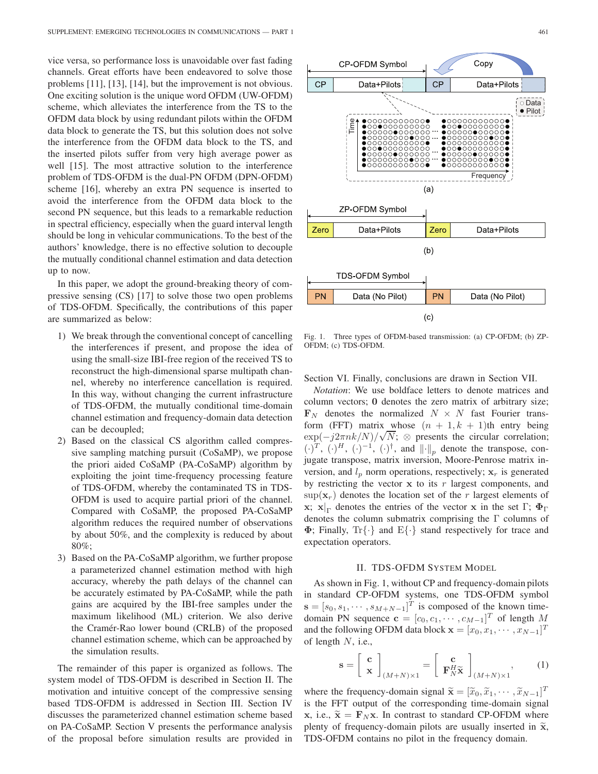vice versa, so performance loss is unavoidable over fast fading channels. Great efforts have been endeavored to solve those problems [11], [13], [14], but the improvement is not obvious. One exciting solution is the unique word OFDM (UW-OFDM) scheme, which alleviates the interference from the TS to the OFDM data block by using redundant pilots within the OFDM data block to generate the TS, but this solution does not solve the interference from the OFDM data block to the TS, and the inserted pilots suffer from very high average power as well [15]. The most attractive solution to the interference problem of TDS-OFDM is the dual-PN OFDM (DPN-OFDM) scheme [16], whereby an extra PN sequence is inserted to avoid the interference from the OFDM data block to the second PN sequence, but this leads to a remarkable reduction in spectral efficiency, especially when the guard interval length should be long in vehicular communications. To the best of the authors' knowledge, there is no effective solution to decouple the mutually conditional channel estimation and data detection up to now.

In this paper, we adopt the ground-breaking theory of compressive sensing (CS) [17] to solve those two open problems of TDS-OFDM. Specifically, the contributions of this paper are summarized as below:

- 1) We break through the conventional concept of cancelling the interferences if present, and propose the idea of using the small-size IBI-free region of the received TS to reconstruct the high-dimensional sparse multipath channel, whereby no interference cancellation is required. In this way, without changing the current infrastructure of TDS-OFDM, the mutually conditional time-domain channel estimation and frequency-domain data detection can be decoupled;
- 2) Based on the classical CS algorithm called compressive sampling matching pursuit (CoSaMP), we propose the priori aided CoSaMP (PA-CoSaMP) algorithm by exploiting the joint time-frequency processing feature of TDS-OFDM, whereby the contaminated TS in TDS-OFDM is used to acquire partial priori of the channel. Compared with CoSaMP, the proposed PA-CoSaMP algorithm reduces the required number of observations by about 50%, and the complexity is reduced by about 80%;
- 3) Based on the PA-CoSaMP algorithm, we further propose a parameterized channel estimation method with high accuracy, whereby the path delays of the channel can be accurately estimated by PA-CoSaMP, while the path gains are acquired by the IBI-free samples under the maximum likelihood (ML) criterion. We also derive the Cramér-Rao lower bound (CRLB) of the proposed channel estimation scheme, which can be approached by the simulation results.

The remainder of this paper is organized as follows. The system model of TDS-OFDM is described in Section II. The motivation and intuitive concept of the compressive sensing based TDS-OFDM is addressed in Section III. Section IV discusses the parameterized channel estimation scheme based on PA-CoSaMP. Section V presents the performance analysis of the proposal before simulation results are provided in



Fig. 1. Three types of OFDM-based transmission: (a) CP-OFDM; (b) ZP-OFDM; (c) TDS-OFDM.

Section VI. Finally, conclusions are drawn in Section VII.

*Notation*: We use boldface letters to denote matrices and column vectors; **0** denotes the zero matrix of arbitrary size;  $\mathbf{F}_N$  denotes the normalized  $N \times N$  fast Fourier transform (FFT) matrix whose  $(n + 1, k + 1)$ th entry being<br>exp $(-i2\pi n k/N)/\sqrt{N}$ ;  $\otimes$  presents the circular correlation:  $\exp(-j2\pi n k/N)/\sqrt{N}$ ;  $\otimes$  presents the circular correlation;<br>(.)<sup>T</sup> (.)<sup>H</sup> (.)<sup>-1</sup> (.)<sup>†</sup> and ||.|| denote the transpose con- $(\cdot)^T$ ,  $(\cdot)^H$ ,  $(\cdot)^{-1}$ ,  $(\cdot)^{\dagger}$ , and  $\|\cdot\|_p$  denote the transpose, conjugate transpose, matrix inversion, Moore-Penrose matrix inversion, and  $l_p$  norm operations, respectively;  $\mathbf{x}_r$  is generated by restricting the vector  $x$  to its  $r$  largest components, and  $\sup(\mathbf{x}_r)$  denotes the location set of the r largest elements of **x**; **x**|<sub> $\Gamma$ </sub> denotes the entries of the vector **x** in the set Γ;  $\Phi_{\Gamma}$ denotes the column submatrix comprising the  $\Gamma$  columns of  $\Phi$ ; Finally, Tr $\{\cdot\}$  and E $\{\cdot\}$  stand respectively for trace and expectation operators.

## II. TDS-OFDM SYSTEM MODEL

As shown in Fig. 1, without CP and frequency-domain pilots in standard CP-OFDM systems, one TDS-OFDM symbol  $\mathbf{s} = [s_0, s_1, \cdots, s_{M+N-1}]^T$  is composed of the known time-<br>domain PN sequence  $\mathbf{c} = [c_0, c_1, \cdots, c_{M-1}]^T$  of length M domain PN sequence  $\mathbf{c} = [c_0, c_1, \cdots, c_{M-1}]^T$  of length M<br>and the following OEDM data block  $\mathbf{x} = [x_0, x_1, \dots, x_N]$ and the following OFDM data block  $\mathbf{x} = [x_0, x_1, \cdots, x_{N-1}]^T$ <br>of length N i.e of length  $N$ , i.e.,

$$
\mathbf{s} = \left[ \begin{array}{c} \mathbf{c} \\ \mathbf{x} \end{array} \right]_{(M+N)\times 1} = \left[ \begin{array}{c} \mathbf{c} \\ \mathbf{F}_{N}^{H} \widetilde{\mathbf{x}} \end{array} \right]_{(M+N)\times 1}, \quad (1)
$$

where the frequency-domain signal  $\tilde{\mathbf{x}} = [\tilde{x}_0, \tilde{x}_1, \cdots, \tilde{x}_{N-1}]^T$ <br>is the EET output of the corresponding time-domain signal is the FFT output of the corresponding time-domain signal **x**, i.e.,  $\tilde{\mathbf{x}} = \mathbf{F}_N \mathbf{x}$ . In contrast to standard CP-OFDM where plenty of frequency-domain pilots are usually inserted in  $\tilde{x}$ , TDS-OFDM contains no pilot in the frequency domain.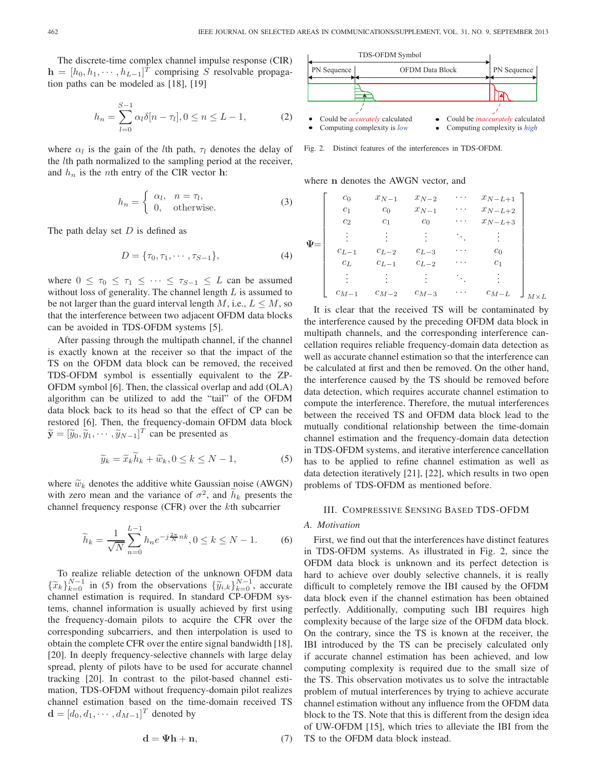The discrete-time complex channel impulse response (CIR)  **comprising S resolvable propagation paths can be modeled as [18] [19]** tion paths can be modeled as [18], [19]

$$
h_n = \sum_{l=0}^{S-1} \alpha_l \delta[n - \tau_l], 0 \le n \le L - 1,
$$
 (2)

where  $\alpha_l$  is the gain of the *l*th path,  $\tau_l$  denotes the delay of the lth path normalized to the sampling period at the receiver, and  $h_n$  is the *n*th entry of the CIR vector **h**:

$$
h_n = \begin{cases} \alpha_l, & n = \tau_l, \\ 0, & \text{otherwise.} \end{cases}
$$
 (3)

The path delay set  $D$  is defined as

$$
D = \{\tau_0, \tau_1, \cdots, \tau_{S-1}\},\tag{4}
$$

where  $0 \leq \tau_0 \leq \tau_1 \leq \cdots \leq \tau_{S-1} \leq L$  can be assumed without loss of generality. The channel length  $L$  is assumed to be not larger than the guard interval length M, i.e.,  $L \leq M$ , so that the interference between two adjacent OFDM data blocks can be avoided in TDS-OFDM systems [5].

After passing through the multipath channel, if the channel is exactly known at the receiver so that the impact of the TS on the OFDM data block can be removed, the received TDS-OFDM symbol is essentially equivalent to the ZP-OFDM symbol [6]. Then, the classical overlap and add (OLA) algorithm can be utilized to add the "tail" of the OFDM data block back to its head so that the effect of CP can be restored [6]. Then, the frequency-domain OFDM data block  $\widetilde{\mathbf{y}} = [\widetilde{y}_0, \widetilde{y}_1, \cdots, \widetilde{y}_{N-1}]^T$  can be presented as

$$
\widetilde{y}_k = \widetilde{x}_k \widetilde{h}_k + \widetilde{w}_k, 0 \le k \le N - 1,\tag{5}
$$

where  $\widetilde{w}_k$  denotes the additive white Gaussian noise (AWGN) with zero mean and the variance of  $\sigma^2$ , and  $\tilde{h}_k$  presents the channel frequency response (CFR) over the kth subcarrier

$$
\widetilde{h}_k = \frac{1}{\sqrt{N}} \sum_{n=0}^{L-1} h_n e^{-j\frac{2\pi}{N}nk}, 0 \le k \le N-1.
$$
 (6)

To realize reliable detection of the unknown OFDM data  $\{\tilde{x}_k\}_{k=0}^{N-1}$  in (5) from the observations  $\{\tilde{y}_{i,k}\}_{k=0}^{N-1}$ , accurate channel estimation is required. In standard CP-OFDM systems, channel information is usually achieved by first using the frequency-domain pilots to acquire the CFR over the corresponding subcarriers, and then interpolation is used to obtain the complete CFR over the entire signal bandwidth [18], [20]. In deeply frequency-selective channels with large delay spread, plenty of pilots have to be used for accurate channel tracking [20]. In contrast to the pilot-based channel estimation, TDS-OFDM without frequency-domain pilot realizes channel estimation based on the time-domain received TS  $\mathbf{d} = [d_0, d_1, \cdots, d_{M-1}]^T$  denoted by

$$
\mathbf{d} = \Psi \mathbf{h} + \mathbf{n},\tag{7}
$$



Fig. 2. Distinct features of the interferences in TDS-OFDM.

where **n** denotes the AWGN vector, and

$$
\Psi = \left[\begin{array}{ccccc} c_0 & x_{N-1} & x_{N-2} & \cdots & x_{N-L+1} \\ c_1 & c_0 & x_{N-1} & \cdots & x_{N-L+2} \\ c_2 & c_1 & c_0 & \cdots & x_{N-L+3} \\ \vdots & \vdots & \vdots & \ddots & \vdots \\ c_{L-1} & c_{L-2} & c_{L-3} & \cdots & c_0 \\ c_L & c_{L-1} & c_{L-2} & \cdots & c_1 \\ \vdots & \vdots & \vdots & \ddots & \vdots \\ c_{M-1} & c_{M-2} & c_{M-3} & \cdots & c_{M-L} \end{array}\right]_{M \times L}
$$

It is clear that the received TS will be contaminated by the interference caused by the preceding OFDM data block in multipath channels, and the corresponding interference cancellation requires reliable frequency-domain data detection as well as accurate channel estimation so that the interference can be calculated at first and then be removed. On the other hand, the interference caused by the TS should be removed before data detection, which requires accurate channel estimation to compute the interference. Therefore, the mutual interferences between the received TS and OFDM data block lead to the mutually conditional relationship between the time-domain channel estimation and the frequency-domain data detection in TDS-OFDM systems, and iterative interference cancellation has to be applied to refine channel estimation as well as data detection iteratively [21], [22], which results in two open problems of TDS-OFDM as mentioned before.

#### III. COMPRESSIVE SENSING BASED TDS-OFDM

### *A. Motivation*

First, we find out that the interferences have distinct features in TDS-OFDM systems. As illustrated in Fig. 2, since the OFDM data block is unknown and its perfect detection is hard to achieve over doubly selective channels, it is really difficult to completely remove the IBI caused by the OFDM data block even if the channel estimation has been obtained perfectly. Additionally, computing such IBI requires high complexity because of the large size of the OFDM data block. On the contrary, since the TS is known at the receiver, the IBI introduced by the TS can be precisely calculated only if accurate channel estimation has been achieved, and low computing complexity is required due to the small size of the TS. This observation motivates us to solve the intractable problem of mutual interferences by trying to achieve accurate channel estimation without any influence from the OFDM data block to the TS. Note that this is different from the design idea of UW-OFDM [15], which tries to alleviate the IBI from the TS to the OFDM data block instead.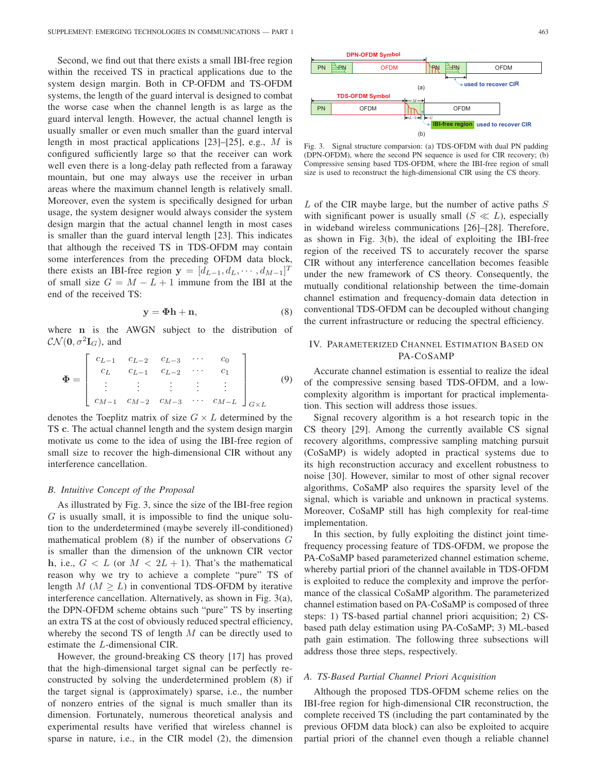Second, we find out that there exists a small IBI-free region within the received TS in practical applications due to the system design margin. Both in CP-OFDM and TS-OFDM systems, the length of the guard interval is designed to combat the worse case when the channel length is as large as the guard interval length. However, the actual channel length is usually smaller or even much smaller than the guard interval length in most practical applications  $[23]$ – $[25]$ , e.g., M is configured sufficiently large so that the receiver can work well even there is a long-delay path reflected from a faraway mountain, but one may always use the receiver in urban areas where the maximum channel length is relatively small. Moreover, even the system is specifically designed for urban usage, the system designer would always consider the system design margin that the actual channel length in most cases is smaller than the guard interval length [23]. This indicates that although the received TS in TDS-OFDM may contain some interferences from the preceding OFDM data block, there exists an IBI-free region  $\mathbf{y} = [d_{L-1}, d_L, \cdots, d_{M-1}]^T$ <br>of small size  $G - M - L + 1$  immune from the IBI at the of small size  $G = M - L + 1$  immune from the IBI at the end of the received TS:

$$
y = \Phi h + n,\tag{8}
$$

where **n** is the AWGN subject to the distribution of  $\mathcal{CN}(\mathbf{0}, \sigma^2 \mathbf{I}_G)$ , and

$$
\Phi = \begin{bmatrix} c_{L-1} & c_{L-2} & c_{L-3} & \cdots & c_0 \\ c_L & c_{L-1} & c_{L-2} & \cdots & c_1 \\ \vdots & \vdots & \vdots & \vdots & \vdots \\ c_{M-1} & c_{M-2} & c_{M-3} & \cdots & c_{M-L} \end{bmatrix}_{G \times L}
$$
(9)

denotes the Toeplitz matrix of size  $G \times L$  determined by the TS **c**. The actual channel length and the system design margin motivate us come to the idea of using the IBI-free region of small size to recover the high-dimensional CIR without any interference cancellation.

#### *B. Intuitive Concept of the Proposal*

As illustrated by Fig. 3, since the size of the IBI-free region  $G$  is usually small, it is impossible to find the unique solution to the underdetermined (maybe severely ill-conditioned) mathematical problem (8) if the number of observations G is smaller than the dimension of the unknown CIR vector **h**, i.e.,  $G < L$  (or  $M < 2L + 1$ ). That's the mathematical reason why we try to achieve a complete "pure" TS of length  $M$  ( $M \geq L$ ) in conventional TDS-OFDM by iterative interference cancellation. Alternatively, as shown in Fig. 3(a), the DPN-OFDM scheme obtains such "pure" TS by inserting an extra TS at the cost of obviously reduced spectral efficiency, whereby the second TS of length  $M$  can be directly used to estimate the L-dimensional CIR.

However, the ground-breaking CS theory [17] has proved that the high-dimensional target signal can be perfectly reconstructed by solving the underdetermined problem (8) if the target signal is (approximately) sparse, i.e., the number of nonzero entries of the signal is much smaller than its dimension. Fortunately, numerous theoretical analysis and experimental results have verified that wireless channel is sparse in nature, i.e., in the CIR model (2), the dimension



Fig. 3. Signal structure comparsion: (a) TDS-OFDM with dual PN padding (DPN-OFDM), where the second PN sequence is used for CIR recovery; (b) Compressive sensing based TDS-OFDM, where the IBI-free region of small size is used to reconstruct the high-dimensional CIR using the CS theory.

 $L$  of the CIR maybe large, but the number of active paths  $S$ with significant power is usually small  $(S \ll L)$ , especially in wideband wireless communications [26]–[28]. Therefore, as shown in Fig. 3(b), the ideal of exploiting the IBI-free region of the received TS to accurately recover the sparse CIR without any interference cancellation becomes feasible under the new framework of CS theory. Consequently, the mutually conditional relationship between the time-domain channel estimation and frequency-domain data detection in conventional TDS-OFDM can be decoupled without changing the current infrastructure or reducing the spectral efficiency.

## IV. PARAMETERIZED CHANNEL ESTIMATION BASED ON PA-COSAMP

Accurate channel estimation is essential to realize the ideal of the compressive sensing based TDS-OFDM, and a lowcomplexity algorithm is important for practical implementation. This section will address those issues.

Signal recovery algorithm is a hot research topic in the CS theory [29]. Among the currently available CS signal recovery algorithms, compressive sampling matching pursuit (CoSaMP) is widely adopted in practical systems due to its high reconstruction accuracy and excellent robustness to noise [30]. However, similar to most of other signal recover algorithms, CoSaMP also requires the sparsity level of the signal, which is variable and unknown in practical systems. Moreover, CoSaMP still has high complexity for real-time implementation.

In this section, by fully exploiting the distinct joint timefrequency processing feature of TDS-OFDM, we propose the PA-CoSaMP based parameterized channel estimation scheme, whereby partial priori of the channel available in TDS-OFDM is exploited to reduce the complexity and improve the performance of the classical CoSaMP algorithm. The parameterized channel estimation based on PA-CoSaMP is composed of three steps: 1) TS-based partial channel priori acquisition; 2) CSbased path delay estimation using PA-CoSaMP; 3) ML-based path gain estimation. The following three subsections will address those three steps, respectively.

## *A. TS-Based Partial Channel Priori Acquisition*

Although the proposed TDS-OFDM scheme relies on the IBI-free region for high-dimensional CIR reconstruction, the complete received TS (including the part contaminated by the previous OFDM data block) can also be exploited to acquire partial priori of the channel even though a reliable channel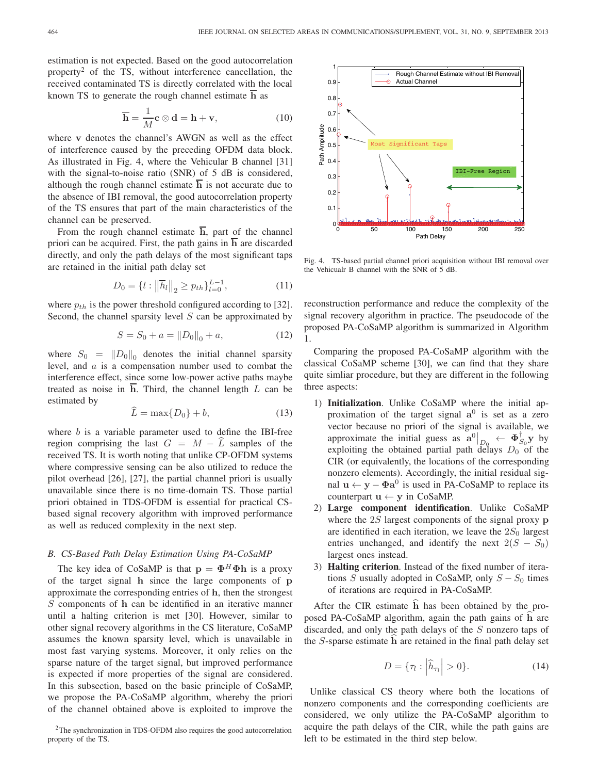estimation is not expected. Based on the good autocorrelation property<sup>2</sup> of the TS, without interference cancellation, the received contaminated TS is directly correlated with the local known TS to generate the rough channel estimate **h** as

$$
\overline{\mathbf{h}} = \frac{1}{M}\mathbf{c} \otimes \mathbf{d} = \mathbf{h} + \mathbf{v},\tag{10}
$$

where **v** denotes the channel's AWGN as well as the effect of interference caused by the preceding OFDM data block. As illustrated in Fig. 4, where the Vehicular B channel [31] with the signal-to-noise ratio (SNR) of 5 dB is considered, although the rough channel estimate **h** is not accurate due to the absence of IBI removal, the good autocorrelation property of the TS ensures that part of the main characteristics of the channel can be preserved.

From the rough channel estimate  $\overline{h}$ , part of the channel priori can be acquired. First, the path gains in  $\overline{h}$  are discarded directly, and only the path delays of the most significant taps are retained in the initial path delay set

$$
D_0 = \{l : \left\|\overline{h}_l\right\|_2 \ge p_{th}\}_{l=0}^{L-1},\tag{11}
$$

where  $p_{th}$  is the power threshold configured according to [32]. Second, the channel sparsity level  $S$  can be approximated by

$$
S = S_0 + a = ||D_0||_0 + a,
$$
 (12)

where  $S_0 = ||D_0||_0$  denotes the initial channel sparsity level, and a is a compensation number used to combat the interference effect, since some low-power active paths maybe treated as noise in  $\overline{h}$ . Third, the channel length  $L$  can be estimated by

$$
\widehat{L} = \max\{D_0\} + b,\tag{13}
$$

where  $b$  is a variable parameter used to define the IBI-free region comprising the last  $G = M - L$  samples of the received TS. It is worth noting that unlike CP-OFDM systems where compressive sensing can be also utilized to reduce the pilot overhead [26], [27], the partial channel priori is usually unavailable since there is no time-domain TS. Those partial priori obtained in TDS-OFDM is essential for practical CSbased signal recovery algorithm with improved performance as well as reduced complexity in the next step.

## *B. CS-Based Path Delay Estimation Using PA-CoSaMP*

The key idea of CoSaMP is that  $\mathbf{p} = \mathbf{\Phi}^H \mathbf{\Phi}$ h is a proxy of the target signal **h** since the large components of **p** approximate the corresponding entries of **h**, then the strongest S components of **h** can be identified in an iterative manner until a halting criterion is met [30]. However, similar to other signal recovery algorithms in the CS literature, CoSaMP assumes the known sparsity level, which is unavailable in most fast varying systems. Moreover, it only relies on the sparse nature of the target signal, but improved performance is expected if more properties of the signal are considered. In this subsection, based on the basic principle of CoSaMP, we propose the PA-CoSaMP algorithm, whereby the priori of the channel obtained above is exploited to improve the





Fig. 4. TS-based partial channel priori acquisition without IBI removal over the Vehicualr B channel with the SNR of 5 dB.

reconstruction performance and reduce the complexity of the signal recovery algorithm in practice. The pseudocode of the proposed PA-CoSaMP algorithm is summarized in Algorithm 1.

Comparing the proposed PA-CoSaMP algorithm with the classical CoSaMP scheme [30], we can find that they share quite simliar procedure, but they are different in the following three aspects:

- 1) **Initialization**. Unlike CoSaMP where the initial approximation of the target signal  $a^0$  is set as a zero vector because no priori of the signal is available, we approximate the initial guess as  $\mathbf{a}^0|_{D_0} \leftarrow \mathbf{\Phi}_{S_0}^{\dagger} \mathbf{y}$  by exploiting the obtained partial path delays  $D_0$  of the CIR (or equivalently, the locations of the corresponding nonzero elements). Accordingly, the initial residual signal  $\mathbf{u} \leftarrow \mathbf{y} - \mathbf{\Phi} \mathbf{a}^0$  is used in PA-CoSaMP to replace its counterpart  $\mathbf{u} \leftarrow \mathbf{y}$  in CoSaMP.
- 2) **Large component identification**. Unlike CoSaMP where the 2<sup>S</sup> largest components of the signal proxy **<sup>p</sup>** are identified in each iteration, we leave the  $2S_0$  largest entries unchanged, and identify the next  $2(S - S_0)$ largest ones instead.
- 3) **Halting criterion**. Instead of the fixed number of iterations S usually adopted in CoSaMP, only  $S - S_0$  times of iterations are required in PA-CoSaMP.

After the CIR estimate **<sup>h</sup>** has been obtained by the proposed PA-CoSaMP algorithm, again the path gains of **<sup>h</sup>** are discarded, and only the path delays of the S nonzero taps of the <sup>S</sup>-sparse estimate **<sup>h</sup>** are retained in the final path delay set

$$
D = \{\tau_l : \left| \widehat{h}_{\tau_l} \right| > 0\}.
$$
 (14)

Unlike classical CS theory where both the locations of nonzero components and the corresponding coefficients are considered, we only utilize the PA-CoSaMP algorithm to acquire the path delays of the CIR, while the path gains are left to be estimated in the third step below.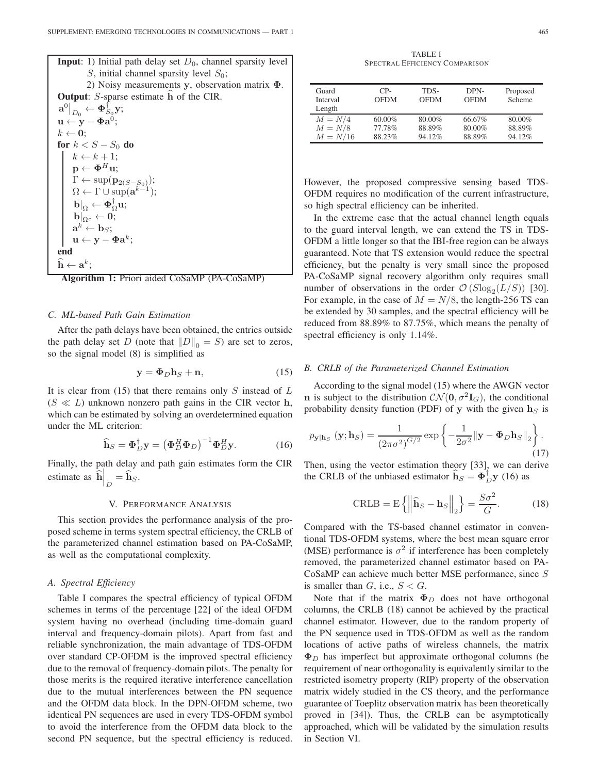| <b>Input</b> : 1) Initial path delay set $D_0$ , channel sparsity level                                     |
|-------------------------------------------------------------------------------------------------------------|
| S, initial channel sparsity level $S_0$ ;                                                                   |
| 2) Noisy measurements y, observation matrix $\Phi$ .                                                        |
| <b>Output:</b> S-sparse estimate h of the CIR.                                                              |
| $\left.\mathbf{a}^{0}\right _{D_{0}}\leftarrow\mathbf{\Phi}_{S_{0}}^{\dagger}\mathbf{y};$                   |
| $\mathbf{u} \leftarrow \mathbf{y} - \mathbf{\Phi} \mathbf{a}^0;$                                            |
| $k \leftarrow \mathbf{0}$ :                                                                                 |
| for $k < S - S_0$ do                                                                                        |
| $k \leftarrow k+1$ ;                                                                                        |
| $\mathbf{p} \leftarrow \mathbf{\Phi}^H \mathbf{u}$ ;                                                        |
| $\Gamma \leftarrow \sup(\mathbf{p}_{2(S-S_0)})$ ;                                                           |
| $\Omega \leftarrow \Gamma \cup \text{sup}(\mathbf{a}^{k-1});$                                               |
| $ {\bf b} _{\Omega} \leftarrow \Phi_{\Omega}^{\dagger} {\bf u};$                                            |
| $\mathbf{b} _{\Omega^c} \leftarrow 0;$                                                                      |
| $\mathbf{a}^k \leftarrow \mathbf{b}_S;$<br>$\mathbf{u} \leftarrow \mathbf{y} - \mathbf{\Phi} \mathbf{a}^k;$ |
|                                                                                                             |
| end                                                                                                         |
| $\widehat{\mathbf{h}} \leftarrow \mathbf{a}^k$ :                                                            |
| <b>Algorithm 1:</b> Priori aided CoSaMP (PA-CoSaMP)                                                         |

### *C. ML-based Path Gain Estimation*

After the path delays have been obtained, the entries outside the path delay set D (note that  $||D||_0 = S$ ) are set to zeros, so the signal model (8) is simplified as

$$
y = \Phi_D h_S + n,\t\t(15)
$$

It is clear from  $(15)$  that there remains only S instead of L  $(S \ll L)$  unknown nonzero path gains in the CIR vector **h**, which can be estimated by solving an overdetermined equation under the ML criterion:

$$
\widehat{\mathbf{h}}_S = \mathbf{\Phi}_D^{\dagger} \mathbf{y} = \left(\mathbf{\Phi}_D^H \mathbf{\Phi}_D\right)^{-1} \mathbf{\Phi}_D^H \mathbf{y}.
$$
 (16)

Finally, the path delay and path gain estimates form the CIR estimate as  $\hat{\mathbf{h}}\Big|_D = \hat{\mathbf{h}}_S$ .

## V. PERFORMANCE ANALYSIS

This section provides the performance analysis of the proposed scheme in terms system spectral efficiency, the CRLB of the parameterized channel estimation based on PA-CoSaMP, as well as the computational complexity.

#### *A. Spectral Efficiency*

Table I compares the spectral efficiency of typical OFDM schemes in terms of the percentage [22] of the ideal OFDM system having no overhead (including time-domain guard interval and frequency-domain pilots). Apart from fast and reliable synchronization, the main advantage of TDS-OFDM over standard CP-OFDM is the improved spectral efficiency due to the removal of frequency-domain pilots. The penalty for those merits is the required iterative interference cancellation due to the mutual interferences between the PN sequence and the OFDM data block. In the DPN-OFDM scheme, two identical PN sequences are used in every TDS-OFDM symbol to avoid the interference from the OFDM data block to the second PN sequence, but the spectral efficiency is reduced.

TABLE I SPECTRAL EFFICIENCY COMPARISON

| Guard      | $CP-$       | TDS-        | DPN-        | Proposed |
|------------|-------------|-------------|-------------|----------|
| Interval   | <b>OFDM</b> | <b>OFDM</b> | <b>OFDM</b> | Scheme   |
| Length     |             |             |             |          |
| $M = N/4$  | 60.00%      | 80.00%      | 66.67%      | 80.00%   |
| $M = N/8$  | 77.78%      | 88.89%      | 80.00%      | 88.89%   |
| $M = N/16$ | 88.23%      | 94.12%      | 88.89%      | 94.12%   |

However, the proposed compressive sensing based TDS-OFDM requires no modification of the current infrastructure, so high spectral efficiency can be inherited.

In the extreme case that the actual channel length equals to the guard interval length, we can extend the TS in TDS-OFDM a little longer so that the IBI-free region can be always guaranteed. Note that TS extension would reduce the spectral efficiency, but the penalty is very small since the proposed PA-CoSaMP signal recovery algorithm only requires small number of observations in the order  $\mathcal{O}(S \log_2(L/S))$  [30]. For example, in the case of  $M = N/8$ , the length-256 TS can be extended by 30 samples, and the spectral efficiency will be reduced from 88.89% to 87.75%, which means the penalty of spectral efficiency is only 1.14%.

#### *B. CRLB of the Parameterized Channel Estimation*

According to the signal model (15) where the AWGN vector **n** is subject to the distribution  $\mathcal{CN}(\mathbf{0}, \sigma^2 \mathbf{I}_G)$ , the conditional probability density function (PDF) of  $y$  with the given  $h_S$  is

$$
p_{\mathbf{y}|\mathbf{h}_S}(\mathbf{y};\mathbf{h}_S) = \frac{1}{(2\pi\sigma^2)^{G/2}} \exp\left\{-\frac{1}{2\sigma^2} \|\mathbf{y} - \mathbf{\Phi}_D \mathbf{h}_S\|_2\right\}.
$$
\n(17)

Then, using the vector estimation theory [33], we can derive the CRLB of the unbiased estimator  $\hat{\mathbf{h}}_S = \mathbf{\Phi}_D^{\dagger} \mathbf{y}$  (16) as

$$
\text{CRLB} = \mathbf{E} \left\{ \left\| \hat{\mathbf{h}}_S - \mathbf{h}_S \right\|_2 \right\} = \frac{S\sigma^2}{G}.
$$
 (18)

Compared with the TS-based channel estimator in conventional TDS-OFDM systems, where the best mean square error (MSE) performance is  $\sigma^2$  if interference has been completely removed, the parameterized channel estimator based on PA-CoSaMP can achieve much better MSE performance, since S is smaller than  $G$ , i.e.,  $S < G$ .

Note that if the matrix  $\Phi_D$  does not have orthogonal columns, the CRLB (18) cannot be achieved by the practical channel estimator. However, due to the random property of the PN sequence used in TDS-OFDM as well as the random locations of active paths of wireless channels, the matrix  $\Phi_D$  has imperfect but approximate orthogonal columns (he requirement of near orthogonality is equivalently similar to the restricted isometry property (RIP) property of the observation matrix widely studied in the CS theory, and the performance guarantee of Toeplitz observation matrix has been theoretically proved in [34]). Thus, the CRLB can be asymptotically approached, which will be validated by the simulation results in Section VI.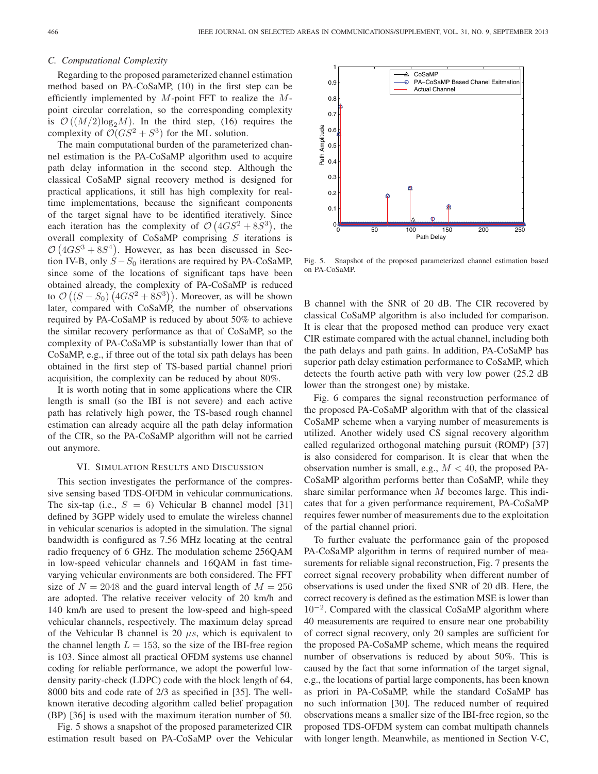## *C. Computational Complexity*

Regarding to the proposed parameterized channel estimation method based on PA-CoSaMP, (10) in the first step can be efficiently implemented by  $M$ -point FFT to realize the  $M$ point circular correlation, so the corresponding complexity is  $\mathcal{O}((M/2) \log_2 M)$ . In the third step, (16) requires the complexity of  $\mathcal{O}(GS^2 + S^3)$  for the ML solution.

The main computational burden of the parameterized channel estimation is the PA-CoSaMP algorithm used to acquire path delay information in the second step. Although the classical CoSaMP signal recovery method is designed for practical applications, it still has high complexity for realtime implementations, because the significant components of the target signal have to be identified iteratively. Since each iteration has the complexity of  $\mathcal{O}(4GS^2 + 8S^3)$ , the<br>overall complexity of CoSaMP comprising S iterations is overall complexity of CoSaMP comprising S iterations is  $\mathcal{O}(4GS^3 + 8S^4)$ . However, as has been discussed in Section IV-B only  $S - S_2$  iterations are required by PA-CoSaMP tion IV-B, only  $S - S_0$  iterations are required by PA-CoSaMP, since some of the locations of significant taps have been obtained already, the complexity of PA-CoSaMP is reduced to  $\mathcal{O}((S - S_0)(4GS^2 + 8S^3))$ . Moreover, as will be shown later, compared with CoSaMP, the number of observations required by PA-CoSaMP is reduced by about 50% to achieve the similar recovery performance as that of CoSaMP, so the complexity of PA-CoSaMP is substantially lower than that of CoSaMP, e.g., if three out of the total six path delays has been obtained in the first step of TS-based partial channel priori acquisition, the complexity can be reduced by about 80%.

It is worth noting that in some applications where the CIR length is small (so the IBI is not severe) and each active path has relatively high power, the TS-based rough channel estimation can already acquire all the path delay information of the CIR, so the PA-CoSaMP algorithm will not be carried out anymore.

## VI. SIMULATION RESULTS AND DISCUSSION

This section investigates the performance of the compressive sensing based TDS-OFDM in vehicular communications. The six-tap (i.e.,  $S = 6$ ) Vehicular B channel model [31] defined by 3GPP widely used to emulate the wireless channel in vehicular scenarios is adopted in the simulation. The signal bandwidth is configured as 7.56 MHz locating at the central radio frequency of 6 GHz. The modulation scheme 256QAM in low-speed vehicular channels and 16QAM in fast timevarying vehicular environments are both considered. The FFT size of  $N = 2048$  and the guard interval length of  $M = 256$ are adopted. The relative receiver velocity of 20 km/h and 140 km/h are used to present the low-speed and high-speed vehicular channels, respectively. The maximum delay spread of the Vehicular B channel is 20  $\mu s$ , which is equivalent to the channel length  $L = 153$ , so the size of the IBI-free region is 103. Since almost all practical OFDM systems use channel coding for reliable performance, we adopt the powerful lowdensity parity-check (LDPC) code with the block length of 64, 8000 bits and code rate of 2/3 as specified in [35]. The wellknown iterative decoding algorithm called belief propagation (BP) [36] is used with the maximum iteration number of 50.

Fig. 5 shows a snapshot of the proposed parameterized CIR estimation result based on PA-CoSaMP over the Vehicular



Fig. 5. Snapshot of the proposed parameterized channel estimation based on PA-CoSaMP.

B channel with the SNR of 20 dB. The CIR recovered by classical CoSaMP algorithm is also included for comparison. It is clear that the proposed method can produce very exact CIR estimate compared with the actual channel, including both the path delays and path gains. In addition, PA-CoSaMP has superior path delay estimation performance to CoSaMP, which detects the fourth active path with very low power (25.2 dB lower than the strongest one) by mistake.

Fig. 6 compares the signal reconstruction performance of the proposed PA-CoSaMP algorithm with that of the classical CoSaMP scheme when a varying number of measurements is utilized. Another widely used CS signal recovery algorithm called regularized orthogonal matching pursuit (ROMP) [37] is also considered for comparison. It is clear that when the observation number is small, e.g.,  $M < 40$ , the proposed PA-CoSaMP algorithm performs better than CoSaMP, while they share similar performance when  $M$  becomes large. This indicates that for a given performance requirement, PA-CoSaMP requires fewer number of measurements due to the exploitation of the partial channel priori.

To further evaluate the performance gain of the proposed PA-CoSaMP algorithm in terms of required number of measurements for reliable signal reconstruction, Fig. 7 presents the correct signal recovery probability when different number of observations is used under the fixed SNR of 20 dB. Here, the correct recovery is defined as the estimation MSE is lower than 10*<sup>−</sup>*<sup>2</sup>. Compared with the classical CoSaMP algorithm where 40 measurements are required to ensure near one probability of correct signal recovery, only 20 samples are sufficient for the proposed PA-CoSaMP scheme, which means the required number of observations is reduced by about 50%. This is caused by the fact that some information of the target signal, e.g., the locations of partial large components, has been known as priori in PA-CoSaMP, while the standard CoSaMP has no such information [30]. The reduced number of required observations means a smaller size of the IBI-free region, so the proposed TDS-OFDM system can combat multipath channels with longer length. Meanwhile, as mentioned in Section V-C,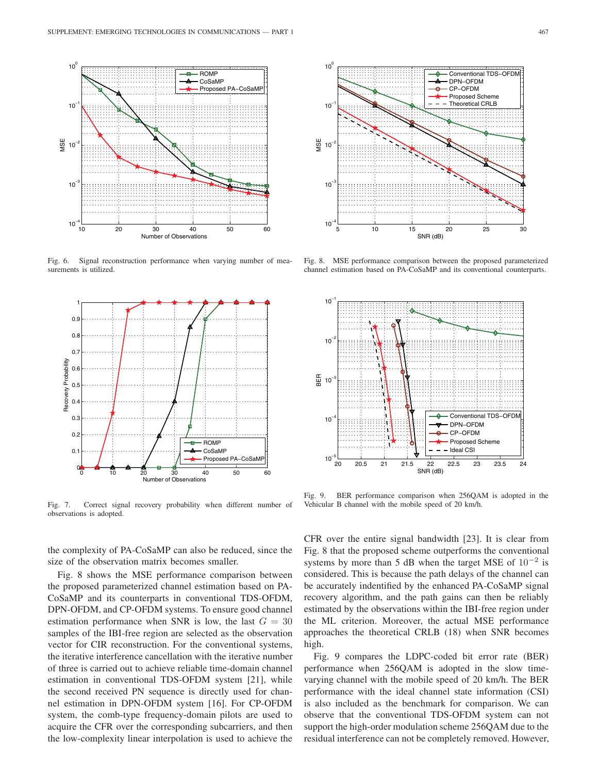

Fig. 6. Signal reconstruction performance when varying number of measurements is utilized.



Fig. 7. Correct signal recovery probability when different number of observations is adopted.

the complexity of PA-CoSaMP can also be reduced, since the size of the observation matrix becomes smaller.

Fig. 8 shows the MSE performance comparison between the proposed parameterized channel estimation based on PA-CoSaMP and its counterparts in conventional TDS-OFDM, DPN-OFDM, and CP-OFDM systems. To ensure good channel estimation performance when SNR is low, the last  $G = 30$ samples of the IBI-free region are selected as the observation vector for CIR reconstruction. For the conventional systems, the iterative interference cancellation with the iterative number of three is carried out to achieve reliable time-domain channel estimation in conventional TDS-OFDM system [21], while the second received PN sequence is directly used for channel estimation in DPN-OFDM system [16]. For CP-OFDM system, the comb-type frequency-domain pilots are used to acquire the CFR over the corresponding subcarriers, and then the low-complexity linear interpolation is used to achieve the



Fig. 8. MSE performance comparison between the proposed parameterized channel estimation based on PA-CoSaMP and its conventional counterparts.



Fig. 9. BER performance comparison when 256QAM is adopted in the Vehicular B channel with the mobile speed of 20 km/h.

CFR over the entire signal bandwidth [23]. It is clear from Fig. 8 that the proposed scheme outperforms the conventional systems by more than 5 dB when the target MSE of <sup>10</sup>*<sup>−</sup>*<sup>2</sup> is considered. This is because the path delays of the channel can be accurately indentified by the enhanced PA-CoSaMP signal recovery algorithm, and the path gains can then be reliably estimated by the observations within the IBI-free region under the ML criterion. Moreover, the actual MSE performance approaches the theoretical CRLB (18) when SNR becomes high.

Fig. 9 compares the LDPC-coded bit error rate (BER) performance when 256QAM is adopted in the slow timevarying channel with the mobile speed of 20 km/h. The BER performance with the ideal channel state information (CSI) is also included as the benchmark for comparison. We can observe that the conventional TDS-OFDM system can not support the high-order modulation scheme 256QAM due to the residual interference can not be completely removed. However,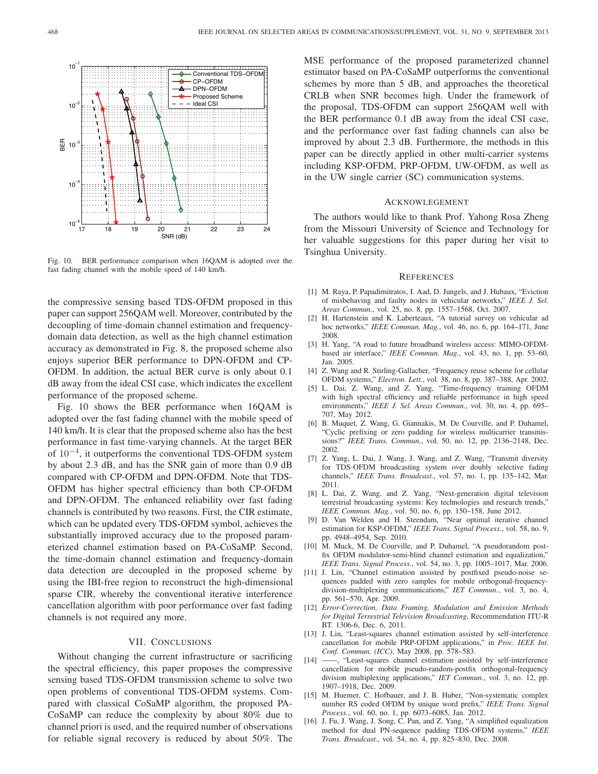

Fig. 10. BER performance comparison when 16QAM is adopted over the fast fading channel with the mobile speed of 140 km/h.

the compressive sensing based TDS-OFDM proposed in this paper can support 256QAM well. Moreover, contributed by the decoupling of time-domain channel estimation and frequencydomain data detection, as well as the high channel estimation accuracy as demonstrated in Fig. 8, the proposed scheme also enjoys superior BER performance to DPN-OFDM and CP-OFDM. In addition, the actual BER curve is only about 0.1 dB away from the ideal CSI case, which indicates the excellent performance of the proposed scheme.

Fig. 10 shows the BER performance when 16QAM is adopted over the fast fading channel with the mobile speed of 140 km/h. It is clear that the proposed scheme also has the best performance in fast time-varying channels. At the target BER of 10*<sup>−</sup>*<sup>4</sup>, it outperforms the conventional TDS-OFDM system by about 2.3 dB, and has the SNR gain of more than 0.9 dB compared with CP-OFDM and DPN-OFDM. Note that TDS-OFDM has higher spectral efficiency than both CP-OFDM and DPN-OFDM. The enhanced reliability over fast fading channels is contributed by two reasons. First, the CIR estimate, which can be updated every TDS-OFDM symbol, achieves the substantially improved accuracy due to the proposed parameterized channel estimation based on PA-CoSaMP. Second, the time-domain channel estimation and frequency-domain data detection are decoupled in the proposed scheme by using the IBI-free region to reconstruct the high-dimensional sparse CIR, whereby the conventional iterative interference cancellation algorithm with poor performance over fast fading channels is not required any more.

#### VII. CONCLUSIONS

Without changing the current infrastructure or sacrificing the spectral efficiency, this paper proposes the compressive sensing based TDS-OFDM transmission scheme to solve two open problems of conventional TDS-OFDM systems. Compared with classical CoSaMP algorithm, the proposed PA-CoSaMP can reduce the complexity by about 80% due to channel priori is used, and the required number of observations for reliable signal recovery is reduced by about 50%. The MSE performance of the proposed parameterized channel estimator based on PA-CoSaMP outperforms the conventional schemes by more than 5 dB, and approaches the theoretical CRLB when SNR becomes high. Under the framework of the proposal, TDS-OFDM can support 256QAM well with the BER performance 0.1 dB away from the ideal CSI case, and the performance over fast fading channels can also be improved by about 2.3 dB. Furthermore, the methods in this paper can be directly applied in other multi-carrier systems including KSP-OFDM, PRP-OFDM, UW-OFDM, as well as in the UW single carrier (SC) communication systems.

#### ACKNOWLEGEMENT

The authors would like to thank Prof. Yahong Rosa Zheng from the Missouri University of Science and Technology for her valuable suggestions for this paper during her visit to Tsinghua University.

#### **REFERENCES**

- [1] M. Raya, P. Papadimitratos, I. Aad, D. Jungels, and J. Hubaux, "Eviction" of misbehaving and faulty nodes in vehicular networks," *IEEE J. Sel. Areas Commun.*, vol. 25, no. 8, pp. 1557–1568, Oct. 2007.
- [2] H. Hartenstein and K. Laberteaux, "A tutorial survey on vehicular ad hoc networks," *IEEE Commun. Mag.*, vol. 46, no. 6, pp. 164–171, June 2008.
- [3] H. Yang, "A road to future broadband wireless access: MIMO-OFDMbased air interface," *IEEE Commun. Mag.*, vol. 43, no. 1, pp. 53–60, Jan. 2005.
- [4] Z. Wang and R. Stirling-Gallacher, "Frequency reuse scheme for cellular OFDM systems," *Electron. Lett.*, vol. 38, no. 8, pp. 387–388, Apr. 2002.
- [5] L. Dai, Z. Wang, and Z. Yang, "Time-frequency training OFDM with high spectral efficiency and reliable performance in high speed environments," *IEEE J. Sel. Areas Commun.*, vol. 30, no. 4, pp. 695– 707, May 2012.
- [6] B. Muquet, Z. Wang, G. Giannakis, M. De Courville, and P. Duhamel, "Cyclic prefixing or zero padding for wireless multicarrier transmissions?" *IEEE Trans. Commun.*, vol. 50, no. 12, pp. 2136–2148, Dec. 2002.
- [7] Z. Yang, L. Dai, J. Wang, J. Wang, and Z. Wang, "Transmit diversity for TDS-OFDM broadcasting system over doubly selective fading channels," *IEEE Trans. Broadcast.*, vol. 57, no. 1, pp. 135–142, Mar. 2011.
- [8] L. Dai, Z. Wang, and Z. Yang, "Next-generation digital television terrestrial broadcasting systems: Key technologies and research trends," *IEEE Commun. Mag.*, vol. 50, no. 6, pp. 150–158, June 2012.
- [9] D. Van Welden and H. Steendam, "Near optimal iterative channel estimation for KSP-OFDM," *IEEE Trans. Signal Process.*, vol. 58, no. 9, pp. 4948–4954, Sep. 2010.
- [10] M. Muck, M. De Courville, and P. Duhamel, "A pseudorandom postfix OFDM modulator-semi-blind channel estimation and equalization," *IEEE Trans. Signal Process.*, vol. 54, no. 3, pp. 1005–1017, Mar. 2006.
- [11] J. Lin, "Channel estimation assisted by postfixed pseudo-noise sequences padded with zero samples for mobile orthogonal-frequencydivision-multiplexing communications," *IET Commun.*, vol. 3, no. 4, pp. 561–570, Apr. 2009.
- [12] *Error-Correction, Data Framing, Modulation and Emission Methods for Digital Terrestrial Television Broadcasting*, Recommendation ITU-R BT. 1306-6, Dec. 6, 2011.
- [13] J. Lin, "Least-squares channel estimation assisted by self-interference cancellation for mobile PRP-OFDM applications," in *Proc. IEEE Int. Conf. Commun. (ICC)*, May 2008, pp. 578–583.
- [14] ——, "Least-squares channel estimation assisted by self-interference cancellation for mobile pseudo-random-postfix orthogonal-frequency division multiplexing applications," *IET Commun.*, vol. 3, no. 12, pp. 1907–1918, Dec. 2009.
- [15] M. Huemer, C. Hofbauer, and J. B. Huber, "Non-systematic complex number RS coded OFDM by unique word prefix," *IEEE Trans. Signal Process.*, vol. 60, no. 1, pp. 6073–6085, Jan. 2012.
- [16] J. Fu, J. Wang, J. Song, C. Pan, and Z. Yang, "A simplified equalization method for dual PN-sequence padding TDS-OFDM systems," *IEEE Trans. Broadcast.*, vol. 54, no. 4, pp. 825–830, Dec. 2008.